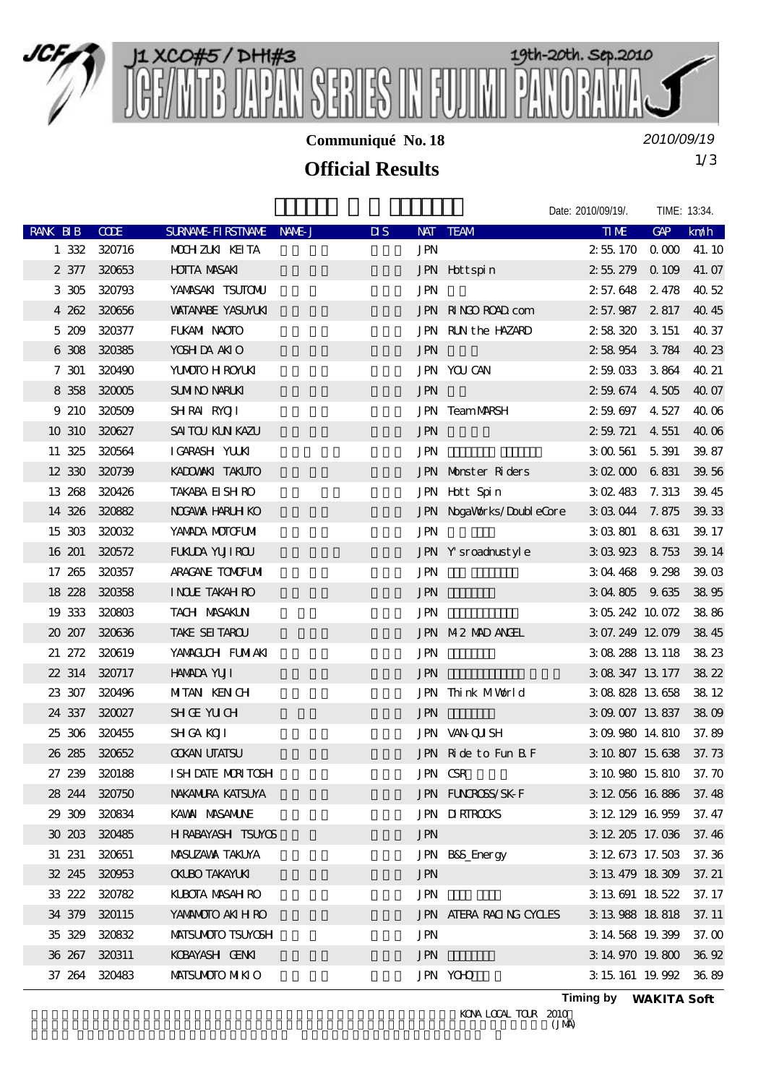

**Communiqué No. 18**

*2010/09/19*

## 1/3 **Official Results**

|               |              |                          |                         |                          | Date: 2010/09/19/.    | TIME: 13:34. |        |
|---------------|--------------|--------------------------|-------------------------|--------------------------|-----------------------|--------------|--------|
| RANK BIB      | <b>COE</b>   | SURNAME FIRSTNAME NAME J | $\overline{\mathbf{u}}$ | NAT TEAM                 | <b>TIME</b>           | <b>GAP</b>   | km/h   |
| 1 3 3 2       | 320716       | MOHZUK KEITA             | <b>JPN</b>              |                          | 2551700000            |              | 41.10  |
|               | 2 377 320653 | <b>HOITA MASAKI</b>      |                         | JPN Hottspin             | 2 55 279 0 109        |              | 41.07  |
| 3 305         | 320793       | YANASAKI TSUTONU         | <b>JPN</b>              |                          | 2 57.648 2 478        |              | 40.52  |
| 4 262         | 320656       | <b>WATANABE YASUMUKI</b> |                         | JPN RINGO ROAD com       | 2 57.987 2 817        |              | 40.45  |
|               | 5 209 320377 | FUKAMI NAOTO             |                         | JPN RUNthe HAZARD        | 2 58 320 3 151        |              | 40.37  |
|               | 6 308 320385 | YOSH DA ANIO             | <b>JPN</b>              |                          | 2 58 954 3 784 40 23  |              |        |
| 7 301         | 320490       | <b>YUMOTO H ROYUKI</b>   |                         | <b>JPN YOU CAN</b>       | 2 59 033 3 864        |              | 40.21  |
|               | 8 358 320005 | <b>SUMINO NARLKI</b>     | <b>JPN</b>              |                          | 2 59 674 4 505 40 07  |              |        |
|               | 9 210 320509 | SHRAI RYOJI              |                         | <b>JPN TeamMARSH</b>     | 2 59 697 4 527        |              | 40.06  |
| 10 310 320627 |              | SAITOU KUN KAZU          | <b>JPN</b>              |                          | 2 59 721 4 551        |              | 40.06  |
| 11 325 320564 |              | IGARASH YUUKI            | <b>JPN</b>              |                          | 3 00 561 5 391        |              | 39.87  |
| 12 330 320739 |              | KADOWAKI TAKUTO          |                         | JPN Monster Riders       | 3 02 000 6 831        |              | 39.56  |
| 13 268 320426 |              | <b>TAKABA EI SH RO</b>   |                         | JPN Hott Spin            | $3 \times 483$ 7.313  |              | 39.45  |
| 14 326 320882 |              | <b>NOGAVAX HARLH KO</b>  |                         | JPN NogaWorks/DoubleCore | 3 03 044 7.875 39.33  |              |        |
| 15 303 320032 |              | YANADA MOTOFUMI          | <b>JPN</b>              |                          | 3 03 801 8 631        |              | 39.17  |
| 16 201        | 320572       | <b>FUKLDA YUJI ROU</b>   |                         | JPN Y sroadnustyle       | 3 03 923 8 753        |              | 39.14  |
| 17 265        | 320357       | <b>ARACANE TOMOFUM</b>   | <b>JPN</b>              |                          | 3 04 468 9 298        |              | 39.03  |
| 18 228 320358 |              | <b>INCLE TAKAH RO</b>    | <b>JPN</b>              |                          | 3 04 805 9 635 38 95  |              |        |
| 19 333 320803 |              | <b>TACH MASAKLN</b>      | <b>JPN</b>              |                          | 3 05 242 10 072       |              | 38.86  |
| 20 207        | 320636       | TAKE SEI TAROU           |                         | JPN M2 MAD ANGEL         | 3 07.249 12 079       |              | 38.45  |
| 21 272 320619 |              | YANACLCH FUMIAKI         | <b>JPN</b>              |                          | 3 08 288 13 118 38 23 |              |        |
| 22 314 320717 |              | <b>HAMADA YUJI</b>       | <b>JPN</b>              |                          | 3 08 347 13 177 38 22 |              |        |
| 23 307 320496 |              | MITAN KENGH              |                         | JPN Think MWarld         | 3 08 828 13 658 38 12 |              |        |
| 24 337 320027 |              | <b>SHGE YUCH</b>         | <b>JPN</b>              |                          | 3 09 007 13 837 38 09 |              |        |
| 25 306 320455 |              | <b>SH GA KOJI</b>        |                         | JPN VAN QUSH             | 3 09.980 14.810 37.89 |              |        |
| 26 285 320652 |              | <b>GOKAN UTATSU</b>      |                         | JPN Ride to Fun BF       | 3 10 807 15 638 37.73 |              |        |
| 27 239 320188 |              | I SH DATE MORTOSH        |                         | JPN CSR                  | 3 10 980 15 810 37.70 |              |        |
| 28 244 320750 |              | NAKANIRA KATSUYA         |                         | JPN FUNCROSS/SK-F        | 3 12 056 16 886 37.48 |              |        |
| 29 309 320834 |              | KAWAI MASANUNE           |                         | <b>JPN DIRIROOKS</b>     | 3 12 129 16 959       |              | 37.47  |
| 30 203 320485 |              | H RABAYASH TSUYOS        | <b>JPN</b>              |                          | 3 12 205 17.036 37.46 |              |        |
| 31 231        | 320651       | <b>MASUZAWA TAKUYA</b>   |                         | JPN B8S_Energy           | 3 12 673 17.503       |              | 37.36  |
| 32 245 320953 |              | <b>CKLBO TAKAYLKI</b>    | <b>JPN</b>              |                          | 3 13 479 18 309       |              | 37.21  |
| 33 222 320782 |              | KLBOTA MASAH RO          | <b>JPN</b>              |                          | 3 13 691 18 522       |              | 37.17  |
| 34 379 320115 |              | YANANOTO AKIH RO         |                         | JPN ATERA RACING CYCLES  | 3 13 988 18 818 37.11 |              |        |
| 35 329        | 320832       | <b>MATSUMOTO TSUMOSH</b> | <b>JPN</b>              |                          | 3 14 568 19 399       |              | 37. QQ |
| 36 267 320311 |              | KOBAYASH GENNI           | <b>JPN</b>              |                          | 3 14 970 19 800 36 92 |              |        |
| 37 264 320483 |              | <b>MATSUMOTO MIKIO</b>   |                         | <b>JPN YOHO</b>          | 3 15 161 19.992       |              | 36.89  |

**Timing by** *WAKITA Soft*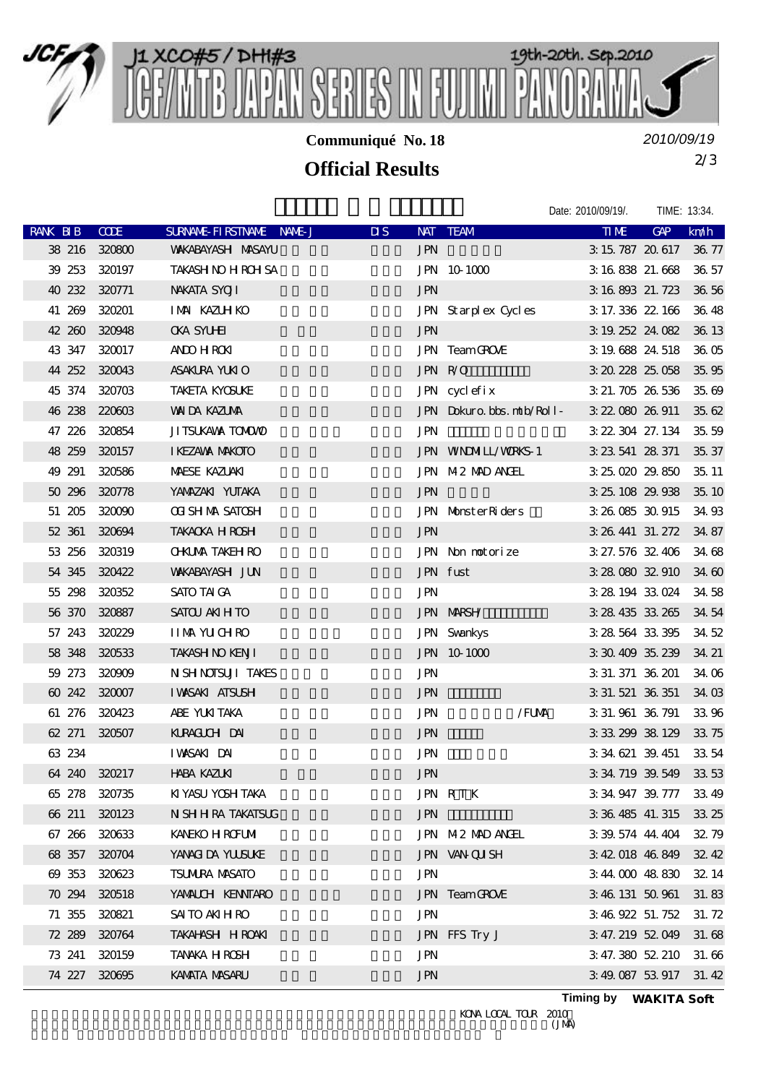

**Communiqué No. 18**

*2010/09/19*

## 2/3 **Official Results**

|               |             |                           |                         |                           | Date: 2010/09/19/.       | TIME: 13:34. |        |
|---------------|-------------|---------------------------|-------------------------|---------------------------|--------------------------|--------------|--------|
| RANK BIB      | <b>CODE</b> | SURNAME FIRSTNAME NAME J  | $\overline{\mathbf{u}}$ | NAT TEAM                  | TIME                     | GAP          | km/h   |
| 38 216 320800 |             | <b>WAKABAYASH MASAYU</b>  | <b>JPN</b>              |                           | 3 15 787 20 617 36 77    |              |        |
| 39 253 320197 |             | <b>TAKASH NO H ROH SA</b> |                         | JPN 10 1000               | 3 16 838 21.668 36 57    |              |        |
| 40 232 320771 |             | NAKATA SYOJI              | <b>JPN</b>              |                           | 3 16 893 21.723 36.56    |              |        |
| 41 269 320201 |             | IMM KAZUH KO              |                         | JPN Starplex Cycles       | 3 17 336 22 166          |              | 36.48  |
| 42 260 320948 |             | <b>CKA SYLHET</b>         | <b>JPN</b>              |                           | 3 19 252 24 082          |              | 36 13  |
| 43 347 320017 |             | ANDO H ROKI               |                         | JPN TeamGROVE             | 3 19 688 24 518          |              | 36.05  |
| 44 252 320043 |             | ASAKURA YUKIO             | JPN R/O                 |                           | 3 20 228 25 058          |              | 35, 95 |
| 45 374 320703 |             | <b>TAKETA KYOSUKE</b>     |                         | JPN cyclefix              | 3 21, 705 26, 536        |              | 35.69  |
| 46 238 220603 |             | <b>WAIDA KAZUMA</b>       |                         | JPN Dokuro bbs. mtb/Roll- | 3 22 080 26 911          |              | 35, 62 |
| 47 226 320854 |             | JI TSUKAVA TOMOVO         | <b>JPN</b>              |                           | 3 22 304 27 134          |              | 35, 59 |
| 48 259 320157 |             | I KEZAWA MAKOTO           |                         | <b>JPN WNDMIL/WRKS-1</b>  | 3 23 541 28 371          |              | 35, 37 |
| 49 291        | 320586      | <b>MAESE KAZUAKI</b>      |                         | JPN M2 MAD ANGEL          | 3 25 020 29 850          |              | 35.11  |
| 50 296 320778 |             | YANAZAKI YUTAKA           | <b>JPN</b>              |                           | 3 25 108 29 938 35 10    |              |        |
| 51 205 320090 |             | <b>OT SH MA SATOSH</b>    |                         | JPN MonsterRiders         | 3 26 085 30 915          |              | 34.93  |
| 52 361 320694 |             | <b>TAKACKA HROSH</b>      | <b>JPN</b>              |                           | 3 26 441 31.272          |              | 34.87  |
| 53 256 320319 |             | <b>O-KLMA TAKEH RO</b>    |                         | JPN Non notorize          | 3 27.576 32.406          |              | 34.68  |
| 54 345 320422 |             | <b>WAKABAYASH JUN</b>     |                         | JPN fust                  | 3 28 080 32 910          |              | 34.60  |
| 55 298 320352 |             | SATO TAI GA               | <b>JPN</b>              |                           | 3 28 194 33 024 34 58    |              |        |
| 56 370 320887 |             | SATOU ANIH TO             |                         | <b>JPN MARSH</b>          | 3 28 435 33 265          |              | 34.54  |
| 57 243 320229 |             | <b>IIMM YUCHRO</b>        |                         | <b>JPN</b> Svankys        | 3 28 564 33 395          |              | 34.52  |
| 58 348 320533 |             | <b>TAKASH NO KENJI</b>    |                         | JPN 10 1000               | 3 30 409 35 239          |              | 34.21  |
| 59 273 320909 |             | N SH NOISUI TAKES         | <b>JPN</b>              |                           | 3 31.371 36 201          |              | 34.06  |
| 60 242 320007 |             | <b>IWSAKI ATSUSH</b>      | <b>JPN</b>              |                           | 3 31.521 36 351          |              | 34.03  |
| 61 276 320423 |             | ABE YUKITAKA              | $\mbox{JPN}$            | /FUMA                     | 3 31.961 36.791          |              | 33 96  |
| 62 271 320507 |             | KLRACIUH DAI              | <b>JPN</b>              |                           | 3 33 299 38 129          |              | 33 75  |
| 63 234        |             | IWASAKI DAI               | <b>JPN</b>              |                           | 3 34 621 39.451          |              | 33 54  |
| 64 240 320217 |             | <b>HABA KAZUKI</b>        | <b>JPN</b>              |                           | 3 34, 719 39, 549 33, 53 |              |        |
| 65 278 320735 |             | KI YASU YOSH TAKA         |                         | JPN RTK                   | 3 34 947 39 777 33 49    |              |        |
| 66 211        | 320123      | N SH H RA TAKATSUG        | <b>JPN</b>              |                           | 3 36 485 41.315          |              | 33.25  |
| 67 266 320633 |             | <b>KANEKO H ROFUMI</b>    |                         | JPN M2 MAD ANGEL          | 3 39 574 44 404 32 79    |              |        |
| 68 357        | 320704      | YANAGI DA YUUSUKE         |                         | JPN VAN QUISH             | 3 42 018 46 849          |              | 32,42  |
| 69 353        | 320623      | <b>TSUMRA MASATO</b>      | <b>JPN</b>              |                           | 344 000 48 830           |              | 32.14  |
| 70 294        | 320518      | YANALCH KENNTARO          |                         | JPN TeamGROVE             | 3 46 131 50 961          |              | 31.83  |
| 71 355        | 320821      | SAI TO AKI H RO           | <b>JPN</b>              |                           | 3 46 922 51 752          |              | 31.72  |
| 72 289        | 320764      | TAKAHASH HROAKI           |                         | JPN FFS Try J             | 3 47.219 52 049          |              | 31.68  |
| 73 241 320159 |             | TANAKA HROSH              | <b>JPN</b>              |                           | 3 47.380 52.210          |              | 31.66  |
| 74 227 320695 |             | KAMATA MASARU             | <b>JPN</b>              |                           | 3 49 087 53 917 31 42    |              |        |
|               |             |                           |                         |                           |                          |              |        |

KONA LOCAL TOUR 2010<br>(JMA)

**Timing by** *WAKITA Soft*